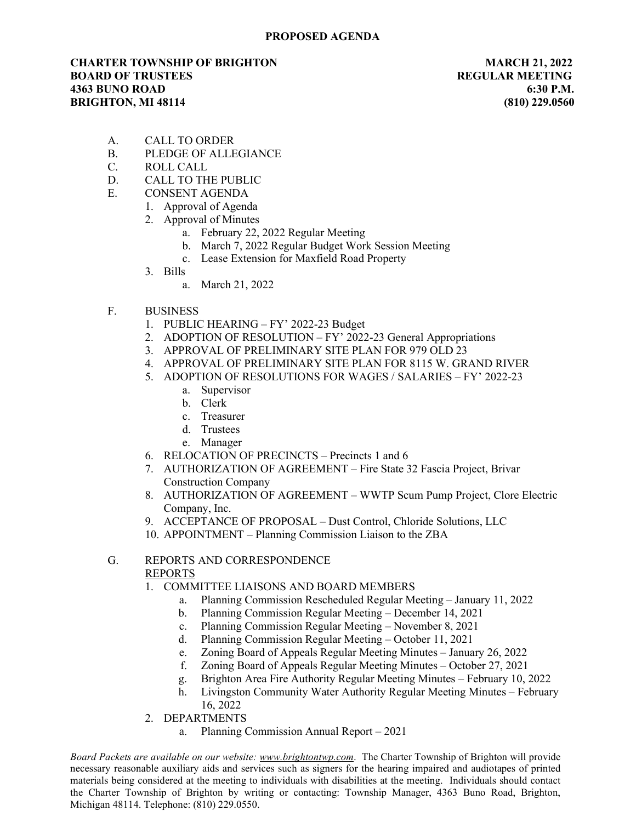## CHARTER TOWNSHIP OF BRIGHTON MARCH 21, 2022 **BOARD OF TRUSTEES REGULAR MEETING** 4363 BUNO ROAD 6:30 P.M. BRIGHTON, MI 48114 (810) 229.0560

- A. CALL TO ORDER
- B. PLEDGE OF ALLEGIANCE
- C. ROLL CALL
- D. CALL TO THE PUBLIC
- E. CONSENT AGENDA
	- 1. Approval of Agenda
	- 2. Approval of Minutes
		- a. February 22, 2022 Regular Meeting
		- b. March 7, 2022 Regular Budget Work Session Meeting
		- c. Lease Extension for Maxfield Road Property
	- 3. Bills
		- a. March 21, 2022
- F. BUSINESS
	- 1. PUBLIC HEARING FY' 2022-23 Budget
	- 2. ADOPTION OF RESOLUTION FY' 2022-23 General Appropriations
	- 3. APPROVAL OF PRELIMINARY SITE PLAN FOR 979 OLD 23
	- 4. APPROVAL OF PRELIMINARY SITE PLAN FOR 8115 W. GRAND RIVER
	- 5. ADOPTION OF RESOLUTIONS FOR WAGES / SALARIES FY' 2022-23
		- a. Supervisor
		- b. Clerk
		- c. Treasurer
		- d. Trustees
		- e. Manager
	- 6. RELOCATION OF PRECINCTS Precincts 1 and 6
	- 7. AUTHORIZATION OF AGREEMENT Fire State 32 Fascia Project, Brivar Construction Company
	- 8. AUTHORIZATION OF AGREEMENT WWTP Scum Pump Project, Clore Electric Company, Inc.
	- 9. ACCEPTANCE OF PROPOSAL Dust Control, Chloride Solutions, LLC
	- 10. APPOINTMENT Planning Commission Liaison to the ZBA

## G. REPORTS AND CORRESPONDENCE REPORTS

- 1. COMMITTEE LIAISONS AND BOARD MEMBERS
	- a. Planning Commission Rescheduled Regular Meeting January 11, 2022
	- b. Planning Commission Regular Meeting December 14, 2021
	- c. Planning Commission Regular Meeting November 8, 2021
	- d. Planning Commission Regular Meeting October 11, 2021
	- e. Zoning Board of Appeals Regular Meeting Minutes January 26, 2022
	- f. Zoning Board of Appeals Regular Meeting Minutes October 27, 2021
	- g. Brighton Area Fire Authority Regular Meeting Minutes February 10, 2022
	- h. Livingston Community Water Authority Regular Meeting Minutes February 16, 2022
- 2. DEPARTMENTS
	- a. Planning Commission Annual Report 2021

Board Packets are available on our website: www.brightontwp.com. The Charter Township of Brighton will provide necessary reasonable auxiliary aids and services such as signers for the hearing impaired and audiotapes of printed materials being considered at the meeting to individuals with disabilities at the meeting. Individuals should contact the Charter Township of Brighton by writing or contacting: Township Manager, 4363 Buno Road, Brighton, Michigan 48114. Telephone: (810) 229.0550.